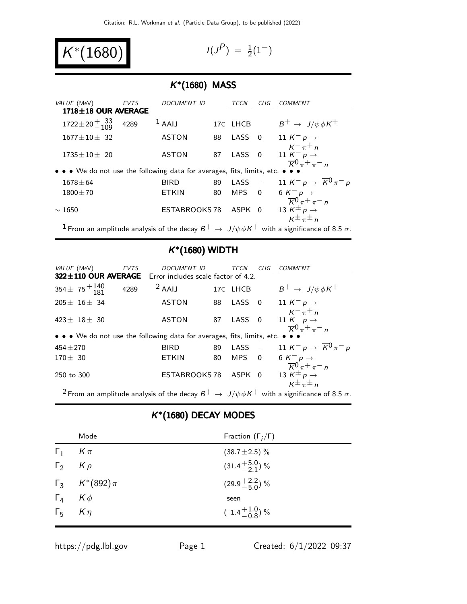$$
K^*(1680) \qquad \qquad
$$

$$
I(J^P) \; = \; \tfrac{1}{2}(1^-)
$$

# K ∗ (1680) MASS

| VALUE (MeV)                                                                   | EVTS | DOCUMENT ID          |    | TECN              | CHG            | COMMENT                                                                                    |
|-------------------------------------------------------------------------------|------|----------------------|----|-------------------|----------------|--------------------------------------------------------------------------------------------|
| 1718±18 OUR AVERAGE                                                           |      |                      |    |                   |                |                                                                                            |
| $1722 \pm 20 \frac{+}{-109}$ 4289                                             |      | $1$ AAIJ             |    | 17C LHCB          |                | $B^+ \rightarrow J/\psi \phi K^+$                                                          |
| $1677 \pm 10 \pm 32$                                                          |      | <b>ASTON</b>         | 88 | LASS <sub>0</sub> |                | 11 $K^- p \rightarrow$                                                                     |
|                                                                               |      |                      |    |                   |                | $K^{-} \pi^{+} n$                                                                          |
| $1735 \pm 10 \pm 20$                                                          |      | <b>ASTON</b>         | 87 | LASS 0            |                | 11 $K^- p \rightarrow$                                                                     |
| • • • We do not use the following data for averages, fits, limits, etc. • • • |      |                      |    |                   |                | $\overline{K}0 \pi^+ \pi^- n$                                                              |
| $1678 \pm 64$                                                                 |      | <b>BIRD</b>          | 89 | $LASS -$          |                | 11 K <sup>-</sup> p $\rightarrow \overline{K}^0 \pi^- p$                                   |
| $1800 \pm 70$                                                                 |      | <b>ETKIN</b>         | 80 | <b>MPS</b>        | $\overline{0}$ | 6 $K^- p \rightarrow$                                                                      |
|                                                                               |      |                      |    |                   |                | $\frac{\overline{K}^0 \pi^+ \pi^-}{13 \overline{K}^{\pm} p \rightarrow} n$                 |
| $\sim 1650$                                                                   |      | <b>ESTABROOKS 78</b> |    | ASPK 0            |                |                                                                                            |
|                                                                               |      |                      |    |                   |                | $K^{\pm} \pi^{\pm} n$                                                                      |
|                                                                               |      |                      |    |                   |                | I From an amplitude analysis of the decay $D^+$ , $I/LL/L^+$ with a similizance of $9.5 -$ |

From an amplitude analysis of the decay  $B^+ \to J/\psi \phi K^+$  with a significance of 8.5  $\sigma$ .

## K ∗ (1680) WIDTH

| VALUE (MeV)                | EVTS | DOCUMENT ID                                                                   |    | TECN     | CHG | COMMENT                                                                                             |
|----------------------------|------|-------------------------------------------------------------------------------|----|----------|-----|-----------------------------------------------------------------------------------------------------|
|                            |      | 322±110 OUR AVERAGE Error includes scale factor of 4.2.                       |    |          |     |                                                                                                     |
| $354 \pm 75 + 140$<br>-181 | 4289 | $2$ AAIJ                                                                      |    | 17C LHCB |     | $B^+ \rightarrow J/\psi \phi K^+$                                                                   |
| $205 \pm 16 \pm 34$        |      | <b>ASTON</b>                                                                  |    |          |     | 88 LASS 0 11 $K^- p \rightarrow$                                                                    |
| $423 \pm 18 \pm 30$        |      | <b>ASTON</b>                                                                  | 87 | LASS 0   |     | $K^{-} \pi^{+} n$<br>11 $K^- p \rightarrow$<br>$\overline{K}^0 \pi^+ \pi^- n$                       |
|                            |      | • • • We do not use the following data for averages, fits, limits, etc. • • • |    |          |     |                                                                                                     |
| $454 \pm 270$              |      | <b>BIRD</b>                                                                   | 89 | $LASS -$ |     | 11 K <sup>-</sup> p $\rightarrow \overline{K}^0 \pi^- p$                                            |
| $170 \pm 30$               |      | <b>ETKIN</b>                                                                  | 80 | MPS 0    |     | 6 $K^- p \rightarrow$                                                                               |
| 250 to 300                 |      | <b>ESTABROOKS 78</b>                                                          |    | ASPK 0   |     | $\frac{\overline{K}^0 \pi^+ \pi^-}{13 \overline{K}^{\pm} p \rightarrow} n$<br>$K^{\pm} \pi^{\pm} n$ |
|                            |      |                                                                               |    |          |     |                                                                                                     |

<sup>2</sup> From an amplitude analysis of the decay  $B^+ \to J/\psi \phi K^+$  with a significance of 8.5  $\sigma$ .

## K ∗ (1680) DECAY MODES

|                     | Mode                     | Fraction $(\Gamma_i/\Gamma)$ |
|---------------------|--------------------------|------------------------------|
| $\Gamma_1$ $K \pi$  |                          | $(38.7 \pm 2.5)\%$           |
| $\Gamma_2$ $K \rho$ |                          | $(31.4 + \frac{5.0}{2.1})$ % |
|                     | $\Gamma_3$ $K^*(892)\pi$ | $(29.9 + \frac{2.2}{5.0})$ % |
| $\Gamma_4$ $K\phi$  |                          | seen                         |
| $\Gamma_5$ $K\eta$  |                          | $(1.4\frac{+1.0}{-0.8})\%$   |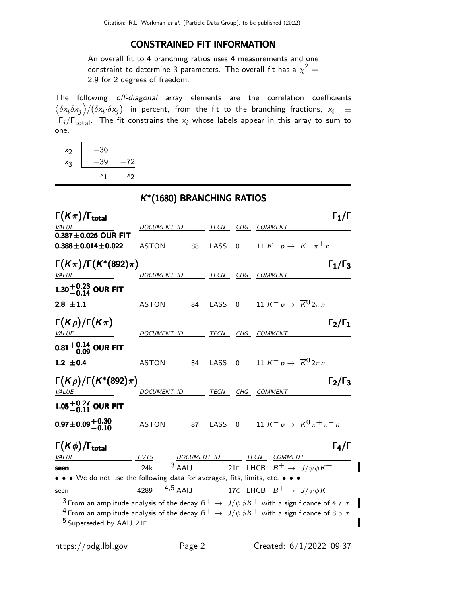#### CONSTRAINED FIT INFORMATION

An overall fit to 4 branching ratios uses 4 measurements and one constraint to determine 3 parameters. The overall fit has a  $\chi^2 =$ 2.9 for 2 degrees of freedom.

The following off-diagonal array elements are the correlation coefficients  $\left<\delta x_i\delta x_j\right>$ / $(\delta x_i\cdot\delta x_j)$ , in percent, from the fit to the branching fractions,  $x_i$   $\;\equiv$  $\Gamma_i/\Gamma_{\rm total}$ . The fit constrains the  $x_i$  whose labels appear in this array to sum to one.

 $\begin{array}{c|c}\nx_2 & -36 \\
x_3 & -39\n\end{array}$  $-39 -72$  $x_1$  $x_2$ 

|                                                                                       | K*(1680) BRANCHING RATIOS    |          |           |          |                                                                                                                 |                     |
|---------------------------------------------------------------------------------------|------------------------------|----------|-----------|----------|-----------------------------------------------------------------------------------------------------------------|---------------------|
| $\Gamma(K\pi)/\Gamma_{\rm total}$                                                     |                              |          |           |          |                                                                                                                 | $\Gamma_1/\Gamma$   |
| <i>VALUE</i><br>$0.387 \pm 0.026$ OUR FIT                                             | DOCUMENT ID                  |          |           |          | TECN CHG COMMENT                                                                                                |                     |
| $0.388 \pm 0.014 \pm 0.022$                                                           | <b>ASTON</b>                 | 88       | LASS      | $\Omega$ | 11 K <sup>-</sup> p $\rightarrow$ K <sup>-</sup> $\pi$ <sup>+</sup> n                                           |                     |
| $\Gamma(K\pi)/\Gamma(K^*(892)\pi)$                                                    |                              |          |           |          |                                                                                                                 | $\Gamma_1/\Gamma_3$ |
| <b>VALUE</b>                                                                          | DOCUMENT ID                  |          |           |          | TECN CHG COMMENT                                                                                                |                     |
| $1.30^{+0.23}_{-0.14}$ OUR FIT                                                        |                              |          |           |          |                                                                                                                 |                     |
| $2.8 \pm 1.1$                                                                         | <b>ASTON</b>                 | 84       | LASS      |          | 0 11 K <sup>-</sup> p $\rightarrow \overline{K}{}^0 2\pi n$                                                     |                     |
| $\Gamma(K\rho)/\Gamma(K\pi)$<br><i>VALUE</i>                                          | <i>DOCUMENT ID</i>           |          | TECN      |          | CHG COMMENT                                                                                                     | $\Gamma_2/\Gamma_1$ |
| $0.81^{+0.14}_{-0.09}$ OUR FIT                                                        |                              |          |           |          |                                                                                                                 |                     |
| 1.2 $\pm$ 0.4                                                                         | <b>ASTON</b>                 |          | 84 LASS 0 |          | 11 K <sup>-</sup> p $\rightarrow \overline{K}^0 2\pi n$                                                         |                     |
| $\Gamma(K\rho)/\Gamma(K^*(892)\pi)$<br><b>VALUE</b>                                   | DOCUMENT ID TECN CHG COMMENT |          |           |          |                                                                                                                 | $\Gamma_2/\Gamma_3$ |
| 1.05 $^{+0.27}_{-0.11}$ OUR FIT                                                       |                              |          |           |          |                                                                                                                 |                     |
| $0.97 \pm 0.09 \begin{array}{c} +0.30 \\ -0.10 \end{array}$                           | <b>ASTON</b>                 | 87       | LASS      |          | 0 11 K <sup>-</sup> p $\rightarrow \overline{K}^{0} \pi^{+} \pi^{-} n$                                          |                     |
| $\Gamma(K\phi)/\Gamma_{\rm total}$                                                    |                              |          |           |          |                                                                                                                 | $\Gamma_4/\Gamma$   |
| <b>VALUE</b>                                                                          | <b>EVTS</b>                  |          |           |          | DOCUMENT ID TECN COMMENT                                                                                        |                     |
| seen<br>• • • We do not use the following data for averages, fits, limits, etc. • • • | 24k                          | $3$ AAIJ |           |          | 21E LHCB $B^+ \rightarrow J/\psi \phi K^+$                                                                      |                     |
| seen                                                                                  | $4,5$ AAIJ<br>4289           |          |           |          | 17C LHCB $B^+ \rightarrow J/\psi \phi K^+$                                                                      |                     |
|                                                                                       |                              |          |           |          | $^3$ From an amplitude analysis of the decay $B^+ \to \, J/\psi \phi K^+$ with a significance of 4.7 $\sigma$ . |                     |
|                                                                                       |                              |          |           |          | $^4$ From an amplitude analysis of the decay $B^+ \to \, J/\psi \phi K^+$ with a significance of 8.5 $\sigma$ . |                     |
| <sup>5</sup> Superseded by AAIJ 21E.                                                  |                              |          |           |          |                                                                                                                 |                     |

П

ı